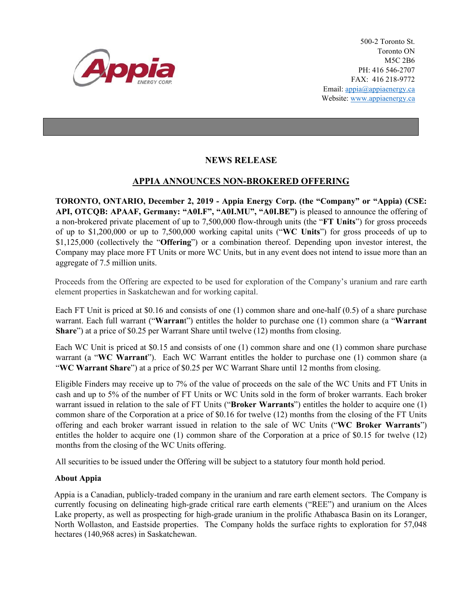

500-2 Toronto St. Toronto ON M5C 2B6 PH: 416 546-2707 FAX: 416 218-9772 Email: appia@appiaenergy.ca Website: www.appiaenergy.ca

## **NEWS RELEASE**

## **APPIA ANNOUNCES NON-BROKERED OFFERING**

**TORONTO, ONTARIO, December 2, 2019 - Appia Energy Corp. (the "Company" or "Appia) (CSE: API, OTCQB: APAAF, Germany: "A0I.F", "A0I.MU", "A0I.BE")** is pleased to announce the offering of a non-brokered private placement of up to 7,500,000 flow-through units (the "**FT Units**") for gross proceeds of up to \$1,200,000 or up to 7,500,000 working capital units ("**WC Units**") for gross proceeds of up to \$1,125,000 (collectively the "**Offering**") or a combination thereof. Depending upon investor interest, the Company may place more FT Units or more WC Units, but in any event does not intend to issue more than an aggregate of 7.5 million units.

Proceeds from the Offering are expected to be used for exploration of the Company's uranium and rare earth element properties in Saskatchewan and for working capital.

Each FT Unit is priced at \$0.16 and consists of one (1) common share and one-half (0.5) of a share purchase warrant. Each full warrant ("**Warran**t") entitles the holder to purchase one (1) common share (a "**Warrant Share**") at a price of \$0.25 per Warrant Share until twelve (12) months from closing.

Each WC Unit is priced at \$0.15 and consists of one (1) common share and one (1) common share purchase warrant (a "**WC Warrant**"). Each WC Warrant entitles the holder to purchase one (1) common share (a "**WC Warrant Share**") at a price of \$0.25 per WC Warrant Share until 12 months from closing.

Eligible Finders may receive up to 7% of the value of proceeds on the sale of the WC Units and FT Units in cash and up to 5% of the number of FT Units or WC Units sold in the form of broker warrants. Each broker warrant issued in relation to the sale of FT Units ("**Broker Warrants**") entitles the holder to acquire one (1) common share of the Corporation at a price of \$0.16 for twelve (12) months from the closing of the FT Units offering and each broker warrant issued in relation to the sale of WC Units ("**WC Broker Warrants**") entitles the holder to acquire one (1) common share of the Corporation at a price of \$0.15 for twelve (12) months from the closing of the WC Units offering.

All securities to be issued under the Offering will be subject to a statutory four month hold period.

## **About Appia**

Appia is a Canadian, publicly-traded company in the uranium and rare earth element sectors. The Company is currently focusing on delineating high-grade critical rare earth elements ("REE") and uranium on the Alces Lake property, as well as prospecting for high-grade uranium in the prolific Athabasca Basin on its Loranger, North Wollaston, and Eastside properties. The Company holds the surface rights to exploration for 57,048 hectares (140,968 acres) in Saskatchewan.